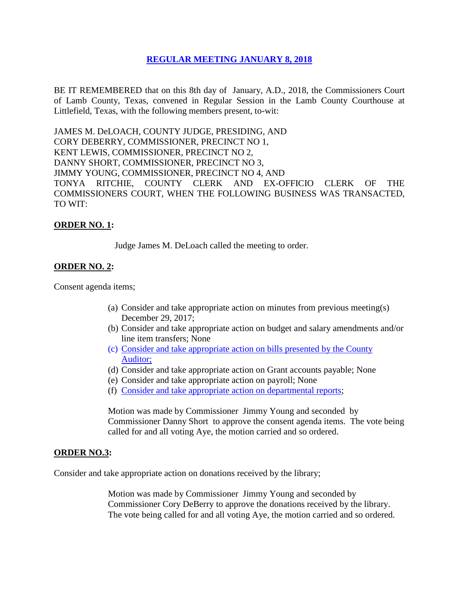# **REGULAR [MEETING JANUARY 8, 2018](Links%202018-01-08-Regular/01%20AGENDA%20REGULAR%20MEETING%20-%20JANUARY%208,%202018.pdf)**

BE IT REMEMBERED that on this 8th day of January, A.D., 2018, the Commissioners Court of Lamb County, Texas, convened in Regular Session in the Lamb County Courthouse at Littlefield, Texas, with the following members present, to-wit:

JAMES M. DeLOACH, COUNTY JUDGE, PRESIDING, AND CORY DEBERRY, COMMISSIONER, PRECINCT NO 1, KENT LEWIS, COMMISSIONER, PRECINCT NO 2, DANNY SHORT, COMMISSIONER, PRECINCT NO 3, JIMMY YOUNG, COMMISSIONER, PRECINCT NO 4, AND TONYA RITCHIE, COUNTY CLERK AND EX-OFFICIO CLERK OF THE COMMISSIONERS COURT, WHEN THE FOLLOWING BUSINESS WAS TRANSACTED, TO WIT:

# **ORDER NO. 1:**

Judge James M. DeLoach called the meeting to order.

### **ORDER NO. 2:**

Consent agenda items;

- (a) Consider and take appropriate action on minutes from previous meeting(s) December 29, 2017;
- (b) Consider and take appropriate action on budget and salary amendments and/or line item transfers; None
- (c) [Consider and take appropriate action on bills presented by the County](Links%202018-01-08-Regular/03%20ACCOUNTS%20PAYABLE%20-%20JANUARY%208,%202018.pdf)  [Auditor;](Links%202018-01-08-Regular/03%20ACCOUNTS%20PAYABLE%20-%20JANUARY%208,%202018.pdf)
- (d) Consider and take appropriate action on Grant accounts payable; None
- (e) Consider and take appropriate action on payroll; None
- (f) [Consider and take appropriate action on departmental reports;](Links%202018-01-08-Regular/04%20DEPARTMENTAL%20REPORTS%20-%20JANUARY%208,%202018.pdf)

Motion was made by Commissioner Jimmy Young and seconded by Commissioner Danny Short to approve the consent agenda items. The vote being called for and all voting Aye, the motion carried and so ordered.

#### **ORDER NO.3:**

Consider and take appropriate action on donations received by the library;

Motion was made by Commissioner Jimmy Young and seconded by Commissioner Cory DeBerry to approve the donations received by the library. The vote being called for and all voting Aye, the motion carried and so ordered.